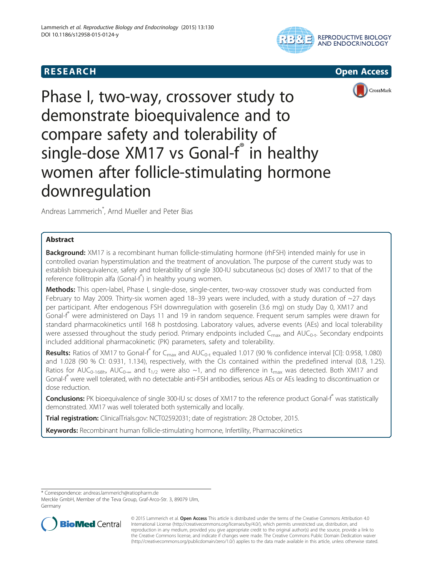





# Phase I, two-way, crossover study to demonstrate bioequivalence and to compare safety and tolerability of single-dose XM17 vs Gonal-f® in healthy women after follicle-stimulating hormone downregulation

Andreas Lammerich<sup>\*</sup>, Arnd Mueller and Peter Bias

# Abstract

Background: XM17 is a recombinant human follicle-stimulating hormone (rhFSH) intended mainly for use in controlled ovarian hyperstimulation and the treatment of anovulation. The purpose of the current study was to establish bioequivalence, safety and tolerability of single 300-IU subcutaneous (sc) doses of XM17 to that of the reference follitropin alfa (Gonal-f®) in healthy young women.

Methods: This open-label, Phase I, single-dose, single-center, two-way crossover study was conducted from February to May 2009. Thirty-six women aged 18–39 years were included, with a study duration of  $\sim$ 27 days per participant. After endogenous FSH downregulation with goserelin (3.6 mg) on study Day 0, XM17 and Gonal-f<sup>®</sup> were administered on Days 11 and 19 in random sequence. Frequent serum samples were drawn for standard pharmacokinetics until 168 h postdosing. Laboratory values, adverse events (AEs) and local tolerability were assessed throughout the study period. Primary endpoints included  $C_{\text{max}}$  and  $AUC_{0-t}$ . Secondary endpoints included additional pharmacokinetic (PK) parameters, safety and tolerability.

Results: Ratios of XM17 to Gonal-f<sup>®</sup> for C<sub>max</sub> and AUC<sub>0-t</sub> equaled 1.017 (90 % confidence interval [CI]: 0.958, 1.080) and 1.028 (90 % CI: 0.931, 1.134), respectively, with the CIs contained within the predefined interval (0.8, 1.25). Ratios for AUC<sub>0-168h</sub>, AUC<sub>0-∞</sub> and t<sub>1/2</sub> were also ~1, and no difference in t<sub>max</sub> was detected. Both XM17 and Gonal-f<sup>®</sup> were well tolerated, with no detectable anti-FSH antibodies, serious AEs or AEs leading to discontinuation or dose reduction.

Conclusions: PK bioequivalence of single 300-IU sc doses of XM17 to the reference product Gonal-f<sup>®</sup> was statistically demonstrated. XM17 was well tolerated both systemically and locally.

Trial registration: ClinicalTrials.gov: [NCT02592031;](https://clinicaltrials.gov/ct2/show/NCT02592031) date of registration: 28 October, 2015.

Keywords: Recombinant human follicle-stimulating hormone, Infertility, Pharmacokinetics

\* Correspondence: [andreas.lammerich@ratiopharm.de](mailto:andreas.lammerich@ratiopharm.de)

Merckle GmbH, Member of the Teva Group, Graf-Arco-Str. 3, 89079 Ulm, Germany



© 2015 Lammerich et al. Open Access This article is distributed under the terms of the Creative Commons Attribution 4.0 International License [\(http://creativecommons.org/licenses/by/4.0/](http://creativecommons.org/licenses/by/4.0/)), which permits unrestricted use, distribution, and reproduction in any medium, provided you give appropriate credit to the original author(s) and the source, provide a link to the Creative Commons license, and indicate if changes were made. The Creative Commons Public Domain Dedication waiver [\(http://creativecommons.org/publicdomain/zero/1.0/](http://creativecommons.org/publicdomain/zero/1.0/)) applies to the data made available in this article, unless otherwise stated.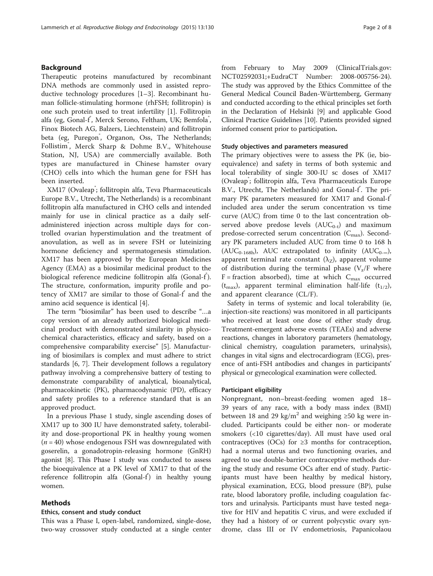## Background

Therapeutic proteins manufactured by recombinant DNA methods are commonly used in assisted reproductive technology procedures [\[1](#page-6-0)–[3](#page-7-0)]. Recombinant human follicle-stimulating hormone (rhFSH; follitropin) is one such protein used to treat infertility [\[1](#page-6-0)]. Follitropin alfa (eg, Gonal-f<sup>°</sup>, Merck Serono, Feltham, UK; Bemfola<sup>°</sup>, Finox Biotech AG, Balzers, Liechtenstein) and follitropin beta (eg, Puregon<sup>°</sup>, Organon, Oss, The Netherlands; Follistim® , Merck Sharp & Dohme B.V., Whitehouse Station, NJ, USA) are commercially available. Both types are manufactured in Chinese hamster ovary (CHO) cells into which the human gene for FSH has been inserted.

XM17 (Ovaleap<sup>\*</sup>; follitropin alfa, Teva Pharmaceuticals Europe B.V., Utrecht, The Netherlands) is a recombinant follitropin alfa manufactured in CHO cells and intended mainly for use in clinical practice as a daily selfadministered injection across multiple days for controlled ovarian hyperstimulation and the treatment of anovulation, as well as in severe FSH or luteinizing hormone deficiency and spermatogenesis stimulation. XM17 has been approved by the European Medicines Agency (EMA) as a biosimilar medicinal product to the biological reference medicine follitropin alfa (Gonal-f<sup>®</sup>). The structure, conformation, impurity profile and potency of XM17 are similar to those of Gonal-f<sup>®</sup> and the amino acid sequence is identical [\[4](#page-7-0)].

The term "biosimilar" has been used to describe "…a copy version of an already authorized biological medicinal product with demonstrated similarity in physicochemical characteristics, efficacy and safety, based on a comprehensive comparability exercise" [[5\]](#page-7-0). Manufacturing of biosimilars is complex and must adhere to strict standards [\[6](#page-7-0), [7\]](#page-7-0). Their development follows a regulatory pathway involving a comprehensive battery of testing to demonstrate comparability of analytical, bioanalytical, pharmacokinetic (PK), pharmacodynamic (PD), efficacy and safety profiles to a reference standard that is an approved product.

In a previous Phase 1 study, single ascending doses of XM17 up to 300 IU have demonstrated safety, tolerability and dose-proportional PK in healthy young women  $(n = 40)$  whose endogenous FSH was downregulated with goserelin, a gonadotropin-releasing hormone (GnRH) agonist [[8](#page-7-0)]. This Phase I study was conducted to assess the bioequivalence at a PK level of XM17 to that of the reference follitropin alfa (Gonal-f<sup>\*</sup>) in healthy young women.

# Methods

#### Ethics, consent and study conduct

This was a Phase I, open-label, randomized, single-dose, two-way crossover study conducted at a single center from February to May 2009 (ClinicalTrials.gov: [NCT02592031;](https://clinicaltrials.gov/ct2/show/NCT02592031)+EudraCT Number: 2008-005756-24). The study was approved by the Ethics Committee of the General Medical Council Baden-Württemberg, Germany and conducted according to the ethical principles set forth in the Declaration of Helsinki [\[9](#page-7-0)] and applicable Good Clinical Practice Guidelines [[10](#page-7-0)]. Patients provided signed informed consent prior to participation.

## Study objectives and parameters measured

The primary objectives were to assess the PK (ie, bioequivalence) and safety in terms of both systemic and local tolerability of single 300-IU sc doses of XM17 (Ovaleap<sup>®</sup>; follitropin alfa, Teva Pharmaceuticals Europe B.V., Utrecht, The Netherlands) and Gonal-f. The primary PK parameters measured for XM17 and Gonal-f included area under the serum concentration vs time curve (AUC) from time 0 to the last concentration observed above predose levels  $(AUC_{0-t})$  and maximum predose-corrected serum concentration  $(C_{\text{max}})$ . Secondary PK parameters included AUC from time 0 to 168 h  $(AUC_{0-168h})$ , AUC extrapolated to infinity  $(AUC_{0-\infty})$ , apparent terminal rate constant  $(\lambda_Z)$ , apparent volume of distribution during the terminal phase  $(V<sub>z</sub>/F)$  where F = fraction absorbed), time at which  $C_{\text{max}}$  occurred  $(t_{\text{max}})$ , apparent terminal elimination half-life  $(t_{1/2})$ , and apparent clearance (CL/F).

Safety in terms of systemic and local tolerability (ie, injection-site reactions) was monitored in all participants who received at least one dose of either study drug. Treatment-emergent adverse events (TEAEs) and adverse reactions, changes in laboratory parameters (hematology, clinical chemistry, coagulation parameters, urinalysis), changes in vital signs and electrocardiogram (ECG), presence of anti-FSH antibodies and changes in participants' physical or gynecological examination were collected.

#### Participant eligibility

Nonpregnant, non–breast-feeding women aged 18– 39 years of any race, with a body mass index (BMI) between 18 and 29 kg/m<sup>2</sup> and weighing  $\geq 50$  kg were included. Participants could be either non- or moderate smokers (<10 cigarettes/day). All must have used oral contraceptives (OCs) for  $\geq$ 3 months for contraception, had a normal uterus and two functioning ovaries, and agreed to use double-barrier contraceptive methods during the study and resume OCs after end of study. Participants must have been healthy by medical history, physical examination, ECG, blood pressure (BP), pulse rate, blood laboratory profile, including coagulation factors and urinalysis. Participants must have tested negative for HIV and hepatitis C virus, and were excluded if they had a history of or current polycystic ovary syndrome, class III or IV endometriosis, Papanicolaou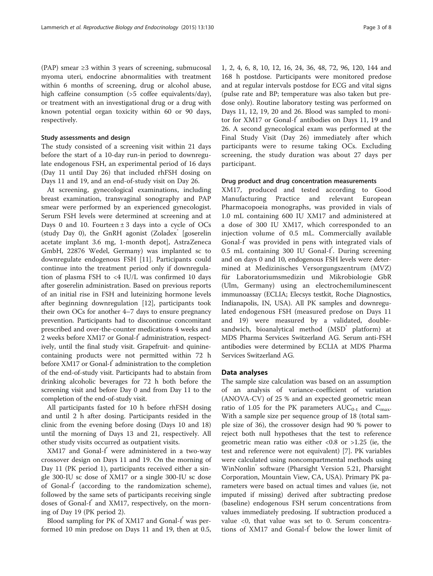(PAP) smear  $\geq$ 3 within 3 years of screening, submucosal myoma uteri, endocrine abnormalities with treatment within 6 months of screening, drug or alcohol abuse, high caffeine consumption (>5 coffee equivalents/day), or treatment with an investigational drug or a drug with known potential organ toxicity within 60 or 90 days, respectively.

#### Study assessments and design

The study consisted of a screening visit within 21 days before the start of a 10-day run-in period to downregulate endogenous FSH, an experimental period of 16 days (Day 11 until Day 26) that included rhFSH dosing on Days 11 and 19, and an end-of-study visit on Day 26.

At screening, gynecological examinations, including breast examination, transvaginal sonography and PAP smear were performed by an experienced gynecologist. Serum FSH levels were determined at screening and at Days 0 and 10. Fourteen  $\pm 3$  days into a cycle of OCs (study Day 0), the GnRH agonist  $(Zoladex^{\dagger})$  [goserelin acetate implant 3.6 mg, 1-month depot], AstraZeneca GmbH, 22876 Wedel, Germany) was implanted sc to downregulate endogenous FSH [\[11](#page-7-0)]. Participants could continue into the treatment period only if downregulation of plasma FSH to <4 IU/L was confirmed 10 days after goserelin administration. Based on previous reports of an initial rise in FSH and luteinizing hormone levels after beginning downregulation [\[12](#page-7-0)], participants took their own OCs for another 4–7 days to ensure pregnancy prevention. Participants had to discontinue concomitant prescribed and over-the-counter medications 4 weeks and 2 weeks before XM17 or Gonal-f administration, respectively, until the final study visit. Grapefruit- and quininecontaining products were not permitted within 72 h before XM17 or Gonal-f<sup>®</sup> administration to the completion of the end-of-study visit. Participants had to abstain from drinking alcoholic beverages for 72 h both before the screening visit and before Day 0 and from Day 11 to the completion of the end-of-study visit.

All participants fasted for 10 h before rhFSH dosing and until 2 h after dosing. Participants resided in the clinic from the evening before dosing (Days 10 and 18) until the morning of Days 13 and 21, respectively. All other study visits occurred as outpatient visits.

XM17 and Gonal-f<sup>®</sup> were administered in a two-way crossover design on Days 11 and 19. On the morning of Day 11 (PK period 1), participants received either a single 300-IU sc dose of XM17 or a single 300-IU sc dose of Gonal-f<sup>®</sup> (according to the randomization scheme), followed by the same sets of participants receiving single doses of Gonal-f and XM17, respectively, on the morning of Day 19 (PK period 2).

Blood sampling for PK of XM17 and Gonal-f was performed 10 min predose on Days 11 and 19, then at 0.5, 1, 2, 4, 6, 8, 10, 12, 16, 24, 36, 48, 72, 96, 120, 144 and 168 h postdose. Participants were monitored predose and at regular intervals postdose for ECG and vital signs (pulse rate and BP; temperature was also taken but predose only). Routine laboratory testing was performed on Days 11, 12, 19, 20 and 26. Blood was sampled to monitor for XM17 or Gonal-f antibodies on Days 11, 19 and 26. A second gynecological exam was performed at the Final Study Visit (Day 26) immediately after which participants were to resume taking OCs. Excluding screening, the study duration was about 27 days per participant.

#### Drug product and drug concentration measurements

XM17, produced and tested according to Good Manufacturing Practice and relevant European Pharmacopoeia monographs, was provided in vials of 1.0 mL containing 600 IU XM17 and administered at a dose of 300 IU XM17, which corresponded to an injection volume of 0.5 mL. Commercially available Gonal-f was provided in pens with integrated vials of 0.5 mL containing 300 IU Gonal-f<sup>\*</sup>. During screening and on days 0 and 10, endogenous FSH levels were determined at Medizinisches Versorgungszentrum (MVZ) für Laboratoriumsmedizin und Mikrobiologie GbR (Ulm, Germany) using an electrochemiluminescent immunoassay (ECLIA; Elecsys testkit, Roche Diagnostics, Indianapolis, IN, USA). All PK samples and downregulated endogenous FSH (measured predose on Days 11 and 19) were measured by a validated, doublesandwich, bioanalytical method (MSD<sup>®</sup> platform) at MDS Pharma Services Switzerland AG. Serum anti-FSH antibodies were determined by ECLIA at MDS Pharma Services Switzerland AG.

#### Data analyses

The sample size calculation was based on an assumption of an analysis of variance-coefficient of variation (ANOVA-CV) of 25 % and an expected geometric mean ratio of 1.05 for the PK parameters  $AUC_{0-t}$  and  $C_{\text{max}}$ . With a sample size per sequence group of 18 (total sample size of 36), the crossover design had 90 % power to reject both null hypotheses that the test to reference geometric mean ratio was either <0.8 or >1.25 (ie, the test and reference were not equivalent) [\[7](#page-7-0)]. PK variables were calculated using noncompartmental methods using WinNonlin® software (Pharsight Version 5.21, Pharsight Corporation, Mountain View, CA, USA). Primary PK parameters were based on actual times and values (ie, not imputed if missing) derived after subtracting predose (baseline) endogenous FSH serum concentrations from values immediately predosing. If subtraction produced a value <0, that value was set to 0. Serum concentrations of XM17 and Gonal-f<sup>'</sup> below the lower limit of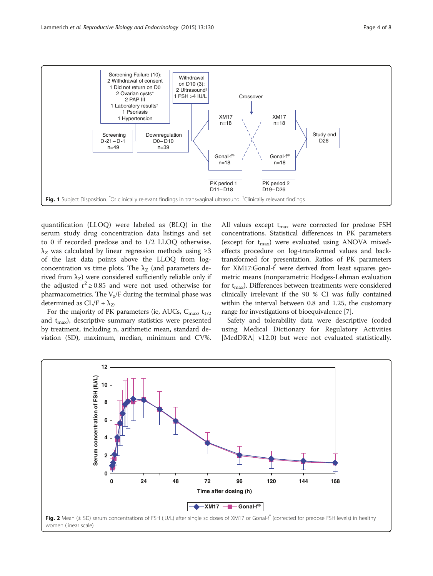<span id="page-3-0"></span>

quantification (LLOQ) were labeled as (BLQ) in the serum study drug concentration data listings and set to 0 if recorded predose and to 1/2 LLOQ otherwise.  $\lambda$ <sub>Z</sub> was calculated by linear regression methods using ≥3 of the last data points above the LLOQ from logconcentration vs time plots. The  $\lambda_z$  (and parameters derived from  $\lambda_Z$ ) were considered sufficiently reliable only if the adjusted  $r^2 \ge 0.85$  and were not used otherwise for pharmacometrics. The  $V_z/F$  during the terminal phase was determined as  $CL/F \div \lambda_Z$ .

For the majority of PK parameters (ie, AUCs,  $C_{\text{max}}$ ,  $t_{1/2}$ and  $t_{\text{max}}$ ), descriptive summary statistics were presented by treatment, including n, arithmetic mean, standard deviation (SD), maximum, median, minimum and CV%. All values except  $t_{\text{max}}$  were corrected for predose FSH concentrations. Statistical differences in PK parameters (except for  $t_{max}$ ) were evaluated using ANOVA mixedeffects procedure on log-transformed values and backtransformed for presentation. Ratios of PK parameters for XM17:Gonal-f<sup>"</sup> were derived from least squares geometric means (nonparametric Hodges-Lehman evaluation for  $t_{\text{max}}$ ). Differences between treatments were considered clinically irrelevant if the 90 % CI was fully contained within the interval between 0.8 and 1.25, the customary range for investigations of bioequivalence [\[7\]](#page-7-0).

Safety and tolerability data were descriptive (coded using Medical Dictionary for Regulatory Activities [MedDRA] v12.0) but were not evaluated statistically.

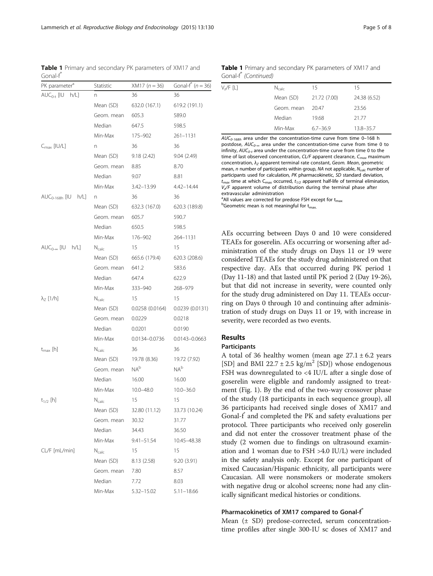AEs occurring between Days 0 and 10 were considered TEAEs for goserelin. AEs occurring or worsening after administration of the study drugs on Days 11 or 19 were considered TEAEs for the study drug administered on that respective day. AEs that occurred during PK period 1 (Day 11-18) and that lasted until PK period 2 (Day 19-26), but that did not increase in severity, were counted only for the study drug administered on Day 11. TEAEs occurring on Days 0 through 10 and continuing after administration of study drugs on Days 11 or 19, with increase in severity, were recorded as two events.

# Results

# Participants

extravascular administration

<sup>a</sup> All values are corrected for predose FSH except for  $t_{\text{max}}$ <br>bGeometric mean is not meaningful for t  $b$ Geometric mean is not meaningful for  $t_{\text{max}}$ 

A total of 36 healthy women (mean age  $27.1 \pm 6.2$  years [SD] and BMI 22.7  $\pm$  2.5 kg/m<sup>2</sup> [SD]) whose endogenous FSH was downregulated to <4 IU/L after a single dose of goserelin were eligible and randomly assigned to treatment (Fig. [1](#page-3-0)). By the end of the two-way crossover phase of the study (18 participants in each sequence group), all 36 participants had received single doses of XM17 and Gonal-f and completed the PK and safety evaluations per protocol. Three participants who received only goserelin and did not enter the crossover treatment phase of the study (2 women due to findings on ultrasound examination and 1 woman due to FSH >4.0 IU/L) were included in the safety analysis only. Except for one participant of mixed Caucasian/Hispanic ethnicity, all participants were Caucasian. All were nonsmokers or moderate smokers with negative drug or alcohol screens; none had any clinically significant medical histories or conditions.

#### Pharmacokinetics of XM17 compared to Gonal-f

Mean (± SD) predose-corrected, serum concentrationtime profiles after single 300-IU sc doses of XM17 and

<span id="page-4-0"></span>Table 1 Primary and secondary PK parameters of XM17 and Gonal-f®

| PK parameter <sup>a</sup>  | Statistic          | $XML7 (n = 36)$ | Gonal- $f^{\circ}(n=36)$ |
|----------------------------|--------------------|-----------------|--------------------------|
| $AUC_{0-t}$ [IU h/L]       | n                  | 36              | 36                       |
|                            | Mean (SD)          | 632.0 (167.1)   | 619.2 (191.1)            |
|                            | Geom. mean         | 605.3           | 589.0                    |
|                            | Median             | 647.5           | 598.5                    |
|                            | Min-Max            | 175-902         | 261-1131                 |
| $C_{\text{max}}$ [IU/L]    | n                  | 36              | 36                       |
|                            | Mean (SD)          | 9.18(2.42)      | 9.04(2.49)               |
|                            | Geom. mean         | 8.85            | 8.70                     |
|                            | Median             | 9.07            | 8.81                     |
|                            | Min-Max            | 3.42-13.99      | 4.42-14.44               |
| $AUC_{0-168h}$ [IU<br>h/L] | n                  | 36              | 36                       |
|                            | Mean (SD)          | 632.3 (167.0)   | 620.3 (189.8)            |
|                            | Geom. mean         | 605.7           | 590.7                    |
|                            | Median             | 650.5           | 598.5                    |
|                            | Min-Max            | 176-902         | 264-1131                 |
| $AUC_{0-\infty}$ [IU h/L]  | $N_{calc}$         | 15              | 15                       |
|                            | Mean (SD)          | 665.6 (179.4)   | 620.3 (208.6)            |
|                            | Geom. mean         | 641.2           | 583.6                    |
|                            | Median             | 647.4           | 622.9                    |
|                            | Min-Max            | 333-940         | 268-979                  |
| $\lambda_Z$ [1/h]          | $N_{calc}$         | 15              | 15                       |
|                            | Mean (SD)          | 0.0258(0.0164)  | 0.0239(0.0131)           |
|                            | Geom. mean         | 0.0229          | 0.0218                   |
|                            | Median             | 0.0201          | 0.0190                   |
|                            | Min-Max            | 0.0134-0.0736   | 0.0143-0.0663            |
| $t_{\rm max}$ [h]          | $N_{calc}$         | 36              | 36                       |
|                            | Mean (SD)          | 19.78 (8.36)    | 19.72 (7.92)             |
|                            | Geom. mean         | NA <sup>b</sup> | NA <sup>b</sup>          |
|                            | Median             | 16.00           | 16.00                    |
|                            | Min-Max            | $10.0 - 48.0$   | $10.0 - 36.0$            |
| $t_{1/2}$ [h]              | $\rm N_{\rm calc}$ | 15              | 15                       |
|                            | Mean (SD)          | 32.80 (11.12)   | 33.73 (10.24)            |
|                            | Geom. mean         | 30.32           | 31.77                    |
|                            | Median             | 34.43           | 36.50                    |
|                            | Min-Max            | $9.41 - 51.54$  | 10.45-48.38              |
| CL/F [mL/min]              | $N_{\text{calc}}$  | 15              | 15                       |
|                            | Mean (SD)          | 8.13(2.58)      | 9.20(3.91)               |
|                            | Geom. mean         | 7.80            | 8.57                     |
|                            | Median             | 7.72            | 8.03                     |
|                            | Min-Max            | 5.32-15.02      | $5.11 - 18.66$           |
|                            |                    |                 |                          |

Table 1 Primary and secondary PK parameters of XM17 and Gonal-f® (Continued)

 $AUC_{0-168h}$  area under the concentration-time curve from time 0-168 h postdose,  $AUC_{0-\infty}$  area under the concentration-time curve from time 0 to infinity,  $AUC_{0,t}$  area under the concentration-time curve from time 0 to the time of last observed concentration, CL/F apparent clearance,  $C_{max}$  maximum concentration,  $\lambda_z$  apparent terminal rate constant, Geom. Mean, geometric mean, n number of participants within group, NA not applicable,  $N_{calc}$  number of participants used for calculation, PK pharmacokinetic, SD standard deviation,  $_{ax}$  time at which C<sub>max</sub> occurred,  $t_{1/2}$  apparent half-life of terminal elimination,  $V_z/F$  apparent volume of distribution during the terminal phase after

Mean (SD) 21.72 (7.00) 24.38 (6.52) Geom. mean 20.47 23.56 Median 19.68 21.77 Min-Max 6.7–36.9 13.8–35.7

 $V_z$ /F [L]  $N_{calc}$  15 15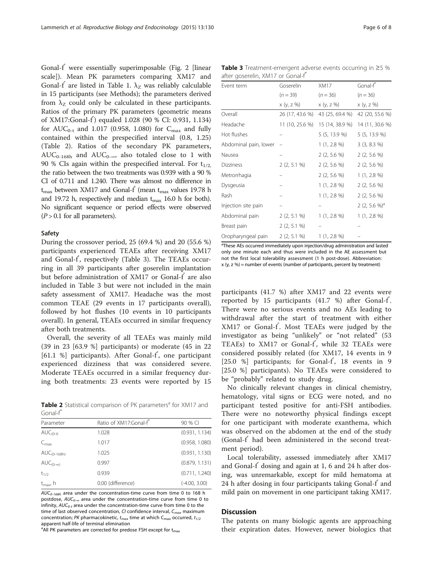Gonal-f<sup>®</sup> were essentially superimposable (Fig. [2](#page-3-0) [linear scale]). Mean PK parameters comparing XM17 and Gonal-f are listed in Table [1.](#page-4-0)  $\lambda_Z$  was reliably calculable in 15 participants (see Methods); the parameters derived from  $\lambda_z$  could only be calculated in these participants. Ratios of the primary PK parameters (geometric means of XM17:Gonal-f<sup>\*</sup>) equaled 1.028 (90 % CI: 0.931, 1.134) for  $AUC_{0-t}$  and 1.017 (0.958, 1.080) for  $C_{\text{max}}$  and fully contained within the prespecified interval (0.8, 1.25) (Table 2). Ratios of the secondary PK parameters, AUC<sub>0-168h</sub> and AUC<sub>0-∞</sub>, also totaled close to 1 with 90 % CIs again within the prespecified interval. For  $t_{1/2}$ , the ratio between the two treatments was 0.939 with a 90 % CI of 0.711 and 1.240. There was almost no difference in  $t_{\text{max}}$  between XM17 and Gonal-f<sup>'</sup> (mean  $t_{\text{max}}$  values 19.78 h and 19.72 h, respectively and median  $t_{\text{max}}$  16.0 h for both). No significant sequence or period effects were observed  $(P > 0.1$  for all parameters).

#### Safety

During the crossover period, 25 (69.4 %) and 20 (55.6 %) participants experienced TEAEs after receiving XM17 and Gonal-f<sup>°</sup>, respectively (Table 3). The TEAEs occurring in all 39 participants after goserelin implantation but before administration of XM17 or Gonal-f are also included in Table 3 but were not included in the main safety assessment of XM17. Headache was the most common TEAE (29 events in 17 participants overall), followed by hot flushes (10 events in 10 participants overall). In general, TEAEs occurred in similar frequency after both treatments.

Overall, the severity of all TEAEs was mainly mild (39 in 23 [63.9 %] participants) or moderate (45 in 22 [61.1 %] participants). After Gonal-f, one participant experienced dizziness that was considered severe. Moderate TEAEs occurred in a similar frequency during both treatments: 23 events were reported by 15

Table 2 Statistical comparison of PK parameters<sup>a</sup> for XM17 and Gonal-f

| Parameter          | Ratio of XM17:Gonal-f | 90 % CI         |  |
|--------------------|-----------------------|-----------------|--|
| $AUC_{(0-t)}$      | 1.028                 | (0.931, 1.134)  |  |
| $C_{\text{max}}$   | 1.017                 | (0.958, 1.080)  |  |
| $AUC_{(0-168h)}$   | 1.025                 | (0.931, 1.130)  |  |
| $AUC_{(0-\infty)}$ | 0.997                 | (0.879, 1.131)  |  |
| $t_{1/2}$          | 0.939                 | (0.711, 1.240)  |  |
| $t_{\rm max}$ , h  | 0.00 (difference)     | $(-4.00, 3.00)$ |  |
|                    |                       |                 |  |

 $AUC_{0-168h}$  area under the concentration-time curve from time 0 to 168 h postdose,  $AUC_{0-\infty}$  area under the concentration-time curve from time 0 to infinity,  $AUC_{0}$  area under the concentration-time curve from time 0 to the time of last observed concentration, CI confidence interval,  $C_{max}$  maximum concentration; PK pharmacokinetic,  $t_{max}$  time at which  $C_{max}$  occurred,  $t_{1/2}$ apparent half-life of terminal elimination

 $^{\text{a}}$ All PK parameters are corrected for predose FSH except for  $\text{t}_{\text{max}}$ 

Table 3 Treatment-emergent adverse events occurring in ≥5 % after goserelin, XM17 or Gonal-f®

| Event term            | Goserelin       | XM17            | Gonal-f           |
|-----------------------|-----------------|-----------------|-------------------|
|                       | $(n = 39)$      | $(n = 36)$      | $(n = 36)$        |
|                       | x (y, z %)      | x (y, z %)      | x (y, z %)        |
| Overall               | 26 (17, 43.6 %) | 43 (25, 69.4 %) | 42 (20, 55.6 %)   |
| Headache              | 11 (10, 25.6 %) | 15 (14, 38.9 %) | 14 (11, 30.6 %)   |
| Hot flushes           |                 | 5 (5, 13.9 %)   | 5 (5, 13.9 %)     |
| Abdominal pain, lower |                 | $1(1, 2.8\%)$   | 3(3, 8.3 %)       |
| Nausea                |                 | 2(2, 5.6 %)     | 2(2, 5.6 %        |
| Dizziness             | 2(2, 5.1 %      | 2(2, 5.6 %)     | 2(2, 5.6 %        |
| Metrorrhagia          |                 | $2(2, 5.6\%)$   | $1(1, 2.8\%)$     |
| Dysgeusia             |                 | $1(1, 2.8\%)$   | 2(2, 5.6 %        |
| Rash                  |                 | $1(1, 2.8\%)$   | 2(2, 5.6 %)       |
| Injection site pain   |                 |                 | $2(2, 5.6 %)^{d}$ |
| Abdominal pain        | 2(2, 5.1 %)     | $1(1, 2.8\%)$   | $1(1, 2.8\%)$     |
| Breast pain           | 2(2, 5.1 %)     |                 |                   |
| Oropharyngeal pain    | 2(2, 5.1 %      | 1 (1, 2.8 %)    |                   |
|                       |                 |                 |                   |

<sup>a</sup>These AEs occurred immediately upon injection/drug administration and lasted only one minute each and thus were included in the AE assessment but not the first local tolerability assessment (1 h post-dose). Abbreviation:  $x (y, z  $\%$ ) = number of events (number of participants, percent by treatment)$ 

participants (41.7 %) after XM17 and 22 events were reported by 15 participants (41.7 %) after Gonal-f<sup>\*</sup>. There were no serious events and no AEs leading to withdrawal after the start of treatment with either XM17 or Gonal-f<sup>\*</sup>. Most TEAEs were judged by the investigator as being "unlikely" or "not related" (53 TEAEs) to XM17 or Gonal-f<sup>'</sup>, while 32 TEAEs were considered possibly related (for XM17, 14 events in 9 [25.0 %] participants; for Gonal-f<sup>\*</sup>, 18 events in 9 [25.0 %] participants). No TEAEs were considered to be "probably" related to study drug.

No clinically relevant changes in clinical chemistry, hematology, vital signs or ECG were noted, and no participant tested positive for anti-FSH antibodies. There were no noteworthy physical findings except for one participant with moderate exanthema, which was observed on the abdomen at the end of the study  $(Gonal-f<sup>†</sup> had been administered in the second treat$ ment period).

Local tolerability, assessed immediately after XM17 and Gonal-f dosing and again at 1, 6 and 24 h after dosing, was unremarkable, except for mild hematoma at 24 h after dosing in four participants taking Gonal-f and mild pain on movement in one participant taking XM17.

#### **Discussion**

The patents on many biologic agents are approaching their expiration dates. However, newer biologics that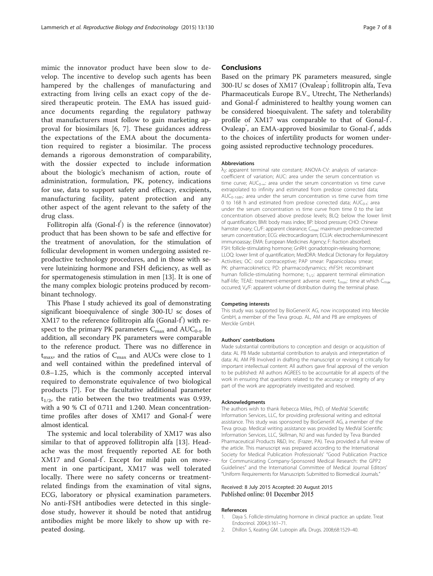<span id="page-6-0"></span>mimic the innovator product have been slow to develop. The incentive to develop such agents has been hampered by the challenges of manufacturing and extracting from living cells an exact copy of the desired therapeutic protein. The EMA has issued guidance documents regarding the regulatory pathway that manufacturers must follow to gain marketing approval for biosimilars [\[6](#page-7-0), [7](#page-7-0)]. These guidances address the expectations of the EMA about the documentation required to register a biosimilar. The process demands a rigorous demonstration of comparability, with the dossier expected to include information about the biologic's mechanism of action, route of administration, formulation, PK, potency, indications for use, data to support safety and efficacy, excipients, manufacturing facility, patent protection and any other aspect of the agent relevant to the safety of the drug class.

Follitropin alfa (Gonal-f<sup>e</sup>) is the reference (innovator) product that has been shown to be safe and effective for the treatment of anovulation, for the stimulation of follicular development in women undergoing assisted reproductive technology procedures, and in those with severe luteinizing hormone and FSH deficiency, as well as for spermatogenesis stimulation in men [[13\]](#page-7-0). It is one of the many complex biologic proteins produced by recombinant technology.

This Phase I study achieved its goal of demonstrating significant bioequivalence of single 300-IU sc doses of  $XM17$  to the reference follitropin alfa (Gonal- $f$ ) with respect to the primary PK parameters  $C_{\text{max}}$  and  $\text{AUC}_{0-t}$ . In addition, all secondary PK parameters were comparable to the reference product. There was no difference in  $t_{\text{max}}$  and the ratios of  $C_{\text{max}}$  and AUCs were close to 1 and well contained within the predefined interval of 0.8–1.25, which is the commonly accepted interval required to demonstrate equivalence of two biological products [[7\]](#page-7-0). For the facultative additional parameter  $t_{1/2}$ , the ratio between the two treatments was 0.939, with a 90 % CI of 0.711 and 1.240. Mean concentrationtime profiles after doses of XM17 and Gonal-f were almost identical.

The systemic and local tolerability of XM17 was also similar to that of approved follitropin alfa [\[13](#page-7-0)]. Headache was the most frequently reported AE for both XM17 and Gonal-f<sup>\*</sup>. Except for mild pain on movement in one participant, XM17 was well tolerated locally. There were no safety concerns or treatmentrelated findings from the examination of vital signs, ECG, laboratory or physical examination parameters. No anti-FSH antibodies were detected in this singledose study, however it should be noted that antidrug antibodies might be more likely to show up with repeated dosing.

#### **Conclusions**

Based on the primary PK parameters measured, single 300-IU sc doses of XM17 (Ovaleap<sup>®</sup>; follitropin alfa, Teva Pharmaceuticals Europe B.V., Utrecht, The Netherlands) and Gonal-f administered to healthy young women can be considered bioequivalent. The safety and tolerability profile of XM17 was comparable to that of Gonal- $f$ . Ovaleap<sup>®</sup>, an EMA-approved biosimilar to Gonal-f<sup>®</sup>, adds to the choices of infertility products for women undergoing assisted reproductive technology procedures.

#### Abbreviations

 $\lambda$ <sub>Z</sub>: apparent terminal rate constant; ANOVA-CV: analysis of variancecoefficient of variation; AUC: area under the serum concentration vs time curve;  $AUC_{0\rightarrow\infty}$ ; area under the serum concentration vs time curve extrapolated to infinity and estimated from predose corrected data; AUC<sub>0-168h</sub>: area under the serum concentration vs time curve from time 0 to 168 h and estimated from predose corrected data;  $AUC_{0-t}$ : area under the serum concentration vs time curve from time 0 to the last concentration observed above predose levels; BLQ: below the lower limit of quantification; BMI: body mass index; BP: blood pressure; CHO: Chinese hamster ovary; CL/F: apparent clearance; C<sub>max</sub>: maximum predose-corrected serum concentration; ECG: electrocardiogram; ECLIA: electrochemiluminescent immunoassay; EMA: European Medicines Agency; F: fraction absorbed; FSH: follicle-stimulating hormone; GnRH: gonadotropin-releasing hormone; LLOQ: lower limit of quantification; MedDRA: Medical Dictionary for Regulatory Activities; OC: oral contraceptive; PAP smear: Papanicolaou smear; PK: pharmacokinetics; PD: pharmacodynamics; rhFSH: recombinant human follicle-stimulating hormone;  $t_{1/2}$ : apparent terminal elimination half-life; TEAE: treatment-emergent adverse event; t<sub>max</sub>: time at which C<sub>max</sub> occurred; V<sub>z</sub>/F: apparent volume of distribution during the terminal phase.

#### Competing interests

This study was supported by BioGeneriX AG, now incorporated into Merckle GmbH, a member of the Teva group. AL, AM and PB are employees of Merckle GmbH.

#### Authors' contributions

Made substantial contributions to conception and design or acquisition of data: AL PB Made substantial contribution to analysis and interpretation of data: AL AM PB Involved in drafting the manuscript or revising it critically for important intellectual content: All authors gave final approval of the version to be published: All authors AGREES to be accountable for all aspects of the work in ensuring that questions related to the accuracy or integrity of any part of the work are appropriately investigated and resolved.

#### Acknowledgments

The authors wish to thank Rebecca Miles, PhD, of MedVal Scientific Information Services, LLC, for providing professional writing and editorial assistance. This study was sponsored by BioGeneriX AG, a member of the Teva group. Medical writing assistance was provided by MedVal Scientific Information Services, LLC, Skillman, NJ and was funded by Teva Branded Pharmaceutical Products R&D, Inc. (Frazer, PA). Teva provided a full review of the article. This manuscript was prepared according to the International Society for Medical Publication Professionals' "Good Publication Practice for Communicating Company-Sponsored Medical Research: the GPP2 Guidelines" and the International Committee of Medical Journal Editors' "Uniform Requirements for Manuscripts Submitted to Biomedical Journals."

#### Received: 8 July 2015 Accepted: 20 August 2015 Published online: 01 December 2015

#### References

- 1. Daya S. Follicle-stimulating hormone in clinical practice: an update. Treat Endocrinol. 2004;3:161–71.
- 2. Dhillon S, Keating GM. Lutropin alfa. Drugs. 2008;68:1529–40.